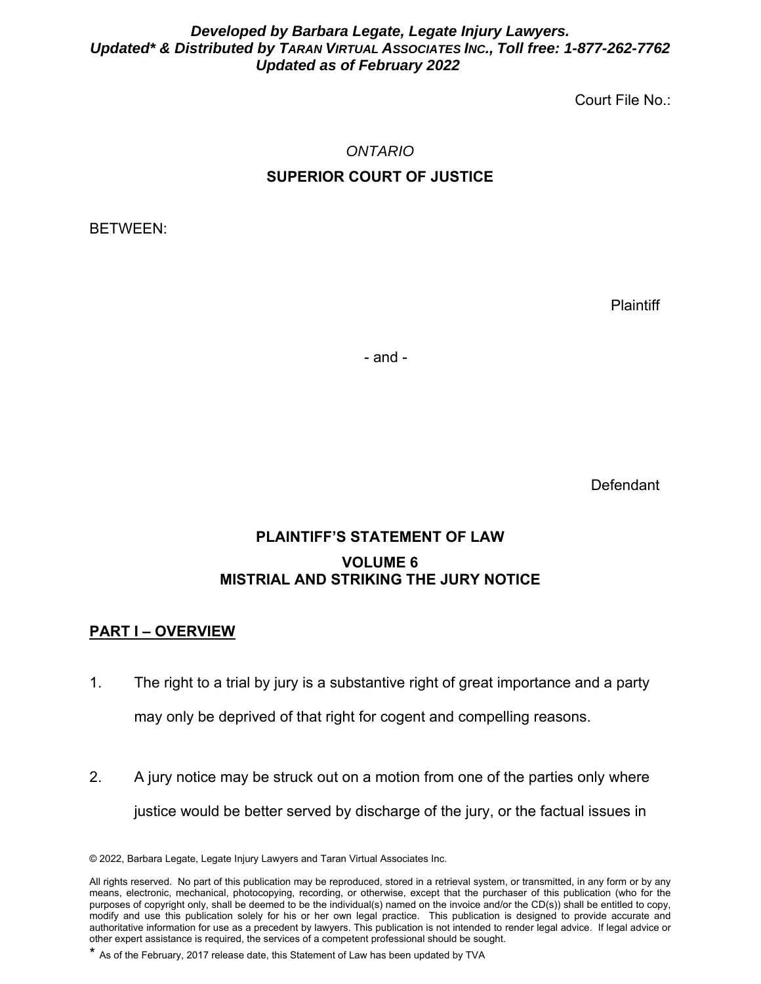#### *Developed by Barbara Legate, Legate Injury Lawyers. Updated\* & Distributed by TARAN VIRTUAL ASSOCIATES INC., Toll free: 1-877-262-7762 Updated as of February 2022*

Court File No.:

# *ONTARIO*  **SUPERIOR COURT OF JUSTICE**

BETWEEN:

**Plaintiff** 

- and -

**Defendant** 

## **PLAINTIFF'S STATEMENT OF LAW VOLUME 6 MISTRIAL AND STRIKING THE JURY NOTICE**

### **PART I – OVERVIEW**

- 1. The right to a trial by jury is a substantive right of great importance and a party may only be deprived of that right for cogent and compelling reasons.
- 2. A jury notice may be struck out on a motion from one of the parties only where justice would be better served by discharge of the jury, or the factual issues in

<sup>© 2022,</sup> Barbara Legate, Legate Injury Lawyers and Taran Virtual Associates Inc.

All rights reserved. No part of this publication may be reproduced, stored in a retrieval system, or transmitted, in any form or by any means, electronic, mechanical, photocopying, recording, or otherwise, except that the purchaser of this publication (who for the purposes of copyright only, shall be deemed to be the individual(s) named on the invoice and/or the CD(s)) shall be entitled to copy, modify and use this publication solely for his or her own legal practice. This publication is designed to provide accurate and authoritative information for use as a precedent by lawyers. This publication is not intended to render legal advice. If legal advice or other expert assistance is required, the services of a competent professional should be sought.

<sup>\*</sup> As of the February, 2017 release date, this Statement of Law has been updated by TVA